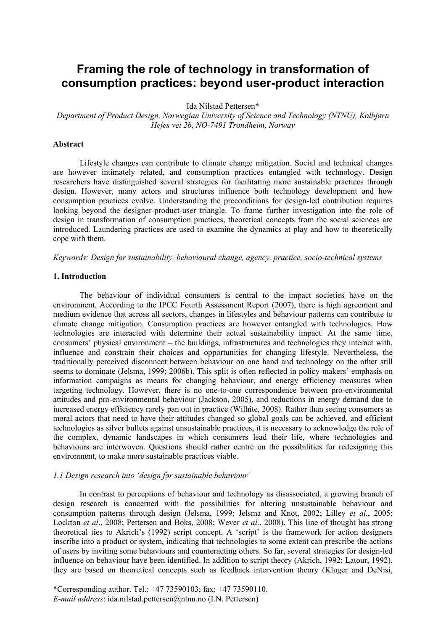# **Framing the role of technology in transformation of consumption practices: beyond user-product interaction**

Ida Nilstad Pettersen\*

*Department of Product Design, Norwegian University of Science and Technology (NTNU), Kolbjørn Hejes vei 2b, NO-7491 Trondheim, Norway*

#### **Abstract**

Lifestyle changes can contribute to climate change mitigation. Social and technical changes are however intimately related, and consumption practices entangled with technology. Design researchers have distinguished several strategies for facilitating more sustainable practices through design. However, many actors and structures influence both technology development and how consumption practices evolve. Understanding the preconditions for design-led contribution requires looking beyond the designer-product-user triangle. To frame further investigation into the role of design in transformation of consumption practices, theoretical concepts from the social sciences are introduced. Laundering practices are used to examine the dynamics at play and how to theoretically cope with them.

*Keywords: Design for sustainability, behavioural change, agency, practice, socio-technical systems* 

# **1. Introduction**

The behaviour of individual consumers is central to the impact societies have on the environment. According to the IPCC Fourth Assessment Report (2007), there is high agreement and medium evidence that across all sectors, changes in lifestyles and behaviour patterns can contribute to climate change mitigation. Consumption practices are however entangled with technologies. How technologies are interacted with determine their actual sustainability impact. At the same time, consumers' physical environment – the buildings, infrastructures and technologies they interact with, influence and constrain their choices and opportunities for changing lifestyle. Nevertheless, the traditionally perceived disconnect between behaviour on one hand and technology on the other still seems to dominate (Jelsma, 1999; 2006b). This split is often reflected in policy-makers' emphasis on information campaigns as means for changing behaviour, and energy efficiency measures when targeting technology. However, there is no one-to-one correspondence between pro-environmental attitudes and pro-environmental behaviour (Jackson, 2005), and reductions in energy demand due to increased energy efficiency rarely pan out in practice (Wilhite, 2008). Rather than seeing consumers as moral actors that need to have their attitudes changed so global goals can be achieved, and efficient technologies as silver bullets against unsustainable practices, it is necessary to acknowledge the role of the complex, dynamic landscapes in which consumers lead their life, where technologies and behaviours are interwoven. Questions should rather centre on the possibilities for redesigning this environment, to make more sustainable practices viable.

### *1.1 Design research into 'design for sustainable behaviour'*

In contrast to perceptions of behaviour and technology as disassociated, a growing branch of design research is concerned with the possibilities for altering unsustainable behaviour and consumption patterns through design (Jelsma, 1999; Jelsma and Knot, 2002; Lilley *et al*., 2005; Lockton *et al*., 2008; Pettersen and Boks, 2008; Wever *et al*., 2008). This line of thought has strong theoretical ties to Akrich's (1992) script concept. A 'script' is the framework for action designers inscribe into a product or system, indicating that technologies to some extent can prescribe the actions of users by inviting some behaviours and counteracting others. So far, several strategies for design-led influence on behaviour have been identified. In addition to script theory (Akrich, 1992; Latour, 1992), they are based on theoretical concepts such as feedback intervention theory (Kluger and DeNisi,

\*Corresponding author. Tel.: +47 73590103; fax: +47 73590110. *E-mail address*: ida.nilstad.pettersen@ntnu.no (I.N. Pettersen)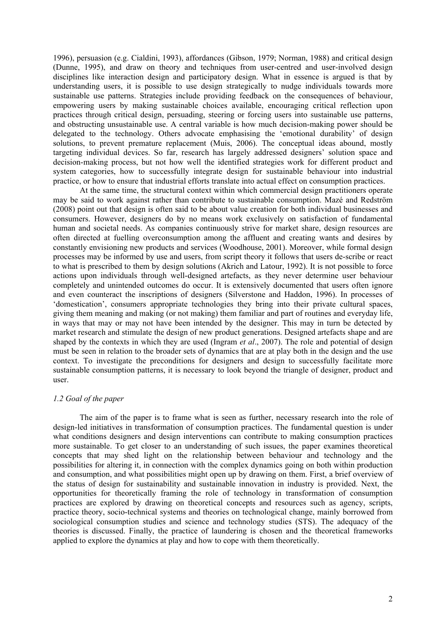1996), persuasion (e.g. Cialdini, 1993), affordances (Gibson, 1979; Norman, 1988) and critical design (Dunne, 1995), and draw on theory and techniques from user-centred and user-involved design disciplines like interaction design and participatory design. What in essence is argued is that by understanding users, it is possible to use design strategically to nudge individuals towards more sustainable use patterns. Strategies include providing feedback on the consequences of behaviour, empowering users by making sustainable choices available, encouraging critical reflection upon practices through critical design, persuading, steering or forcing users into sustainable use patterns, and obstructing unsustainable use. A central variable is how much decision-making power should be delegated to the technology. Others advocate emphasising the 'emotional durability' of design solutions, to prevent premature replacement (Muis, 2006). The conceptual ideas abound, mostly targeting individual devices. So far, research has largely addressed designers' solution space and decision-making process, but not how well the identified strategies work for different product and system categories, how to successfully integrate design for sustainable behaviour into industrial practice, or how to ensure that industrial efforts translate into actual effect on consumption practices.

At the same time, the structural context within which commercial design practitioners operate may be said to work against rather than contribute to sustainable consumption. Mazé and Redström (2008) point out that design is often said to be about value creation for both individual businesses and consumers. However, designers do by no means work exclusively on satisfaction of fundamental human and societal needs. As companies continuously strive for market share, design resources are often directed at fuelling overconsumption among the affluent and creating wants and desires by constantly envisioning new products and services (Woodhouse, 2001). Moreover, while formal design processes may be informed by use and users, from script theory it follows that users de-scribe or react to what is prescribed to them by design solutions (Akrich and Latour, 1992). It is not possible to force actions upon individuals through well-designed artefacts, as they never determine user behaviour completely and unintended outcomes do occur. It is extensively documented that users often ignore and even counteract the inscriptions of designers (Silverstone and Haddon, 1996). In processes of 'domestication', consumers appropriate technologies they bring into their private cultural spaces, giving them meaning and making (or not making) them familiar and part of routines and everyday life, in ways that may or may not have been intended by the designer. This may in turn be detected by market research and stimulate the design of new product generations. Designed artefacts shape and are shaped by the contexts in which they are used (Ingram *et al*., 2007). The role and potential of design must be seen in relation to the broader sets of dynamics that are at play both in the design and the use context. To investigate the preconditions for designers and design to successfully facilitate more sustainable consumption patterns, it is necessary to look beyond the triangle of designer, product and user.

### *1.2 Goal of the paper*

The aim of the paper is to frame what is seen as further, necessary research into the role of design-led initiatives in transformation of consumption practices. The fundamental question is under what conditions designers and design interventions can contribute to making consumption practices more sustainable. To get closer to an understanding of such issues, the paper examines theoretical concepts that may shed light on the relationship between behaviour and technology and the possibilities for altering it, in connection with the complex dynamics going on both within production and consumption, and what possibilities might open up by drawing on them. First, a brief overview of the status of design for sustainability and sustainable innovation in industry is provided. Next, the opportunities for theoretically framing the role of technology in transformation of consumption practices are explored by drawing on theoretical concepts and resources such as agency, scripts, practice theory, socio-technical systems and theories on technological change, mainly borrowed from sociological consumption studies and science and technology studies (STS). The adequacy of the theories is discussed. Finally, the practice of laundering is chosen and the theoretical frameworks applied to explore the dynamics at play and how to cope with them theoretically.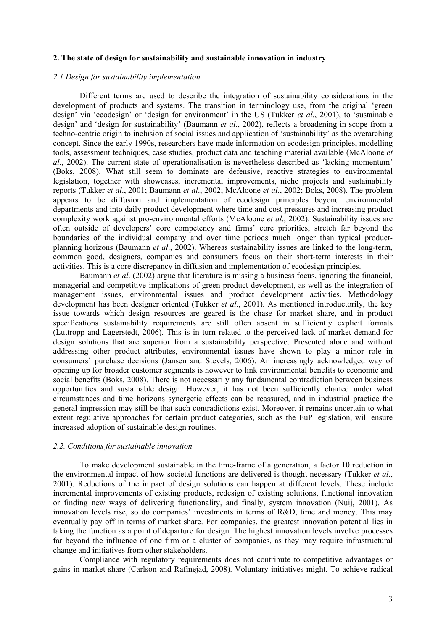#### **2. The state of design for sustainability and sustainable innovation in industry**

#### *2.1 Design for sustainability implementation*

Different terms are used to describe the integration of sustainability considerations in the development of products and systems. The transition in terminology use, from the original 'green design' via 'ecodesign' or 'design for environment' in the US (Tukker *et al*., 2001), to 'sustainable design' and 'design for sustainability' (Baumann *et al*., 2002), reflects a broadening in scope from a techno-centric origin to inclusion of social issues and application of 'sustainability' as the overarching concept. Since the early 1990s, researchers have made information on ecodesign principles, modelling tools, assessment techniques, case studies, product data and teaching material available (McAloone *et al*., 2002). The current state of operationalisation is nevertheless described as 'lacking momentum' (Boks, 2008). What still seem to dominate are defensive, reactive strategies to environmental legislation, together with showcases, incremental improvements, niche projects and sustainability reports (Tukker *et al*., 2001; Baumann *et al*., 2002; McAloone *et al*., 2002; Boks, 2008). The problem appears to be diffusion and implementation of ecodesign principles beyond environmental departments and into daily product development where time and cost pressures and increasing product complexity work against pro-environmental efforts (McAloone *et al*., 2002). Sustainability issues are often outside of developers' core competency and firms' core priorities, stretch far beyond the boundaries of the individual company and over time periods much longer than typical productplanning horizons (Baumann *et al*., 2002). Whereas sustainability issues are linked to the long-term, common good, designers, companies and consumers focus on their short-term interests in their activities. This is a core discrepancy in diffusion and implementation of ecodesign principles.

Baumann *et al*. (2002) argue that literature is missing a business focus, ignoring the financial, managerial and competitive implications of green product development, as well as the integration of management issues, environmental issues and product development activities. Methodology development has been designer oriented (Tukker *et al*., 2001). As mentioned introductorily, the key issue towards which design resources are geared is the chase for market share, and in product specifications sustainability requirements are still often absent in sufficiently explicit formats (Luttropp and Lagerstedt, 2006). This is in turn related to the perceived lack of market demand for design solutions that are superior from a sustainability perspective. Presented alone and without addressing other product attributes, environmental issues have shown to play a minor role in consumers' purchase decisions (Jansen and Stevels, 2006). An increasingly acknowledged way of opening up for broader customer segments is however to link environmental benefits to economic and social benefits (Boks, 2008). There is not necessarily any fundamental contradiction between business opportunities and sustainable design. However, it has not been sufficiently charted under what circumstances and time horizons synergetic effects can be reassured, and in industrial practice the general impression may still be that such contradictions exist. Moreover, it remains uncertain to what extent regulative approaches for certain product categories, such as the EuP legislation, will ensure increased adoption of sustainable design routines.

# *2.2. Conditions for sustainable innovation*

To make development sustainable in the time-frame of a generation, a factor 10 reduction in the environmental impact of how societal functions are delivered is thought necessary (Tukker *et al*., 2001). Reductions of the impact of design solutions can happen at different levels. These include incremental improvements of existing products, redesign of existing solutions, functional innovation or finding new ways of delivering functionality, and finally, system innovation (Nuij, 2001). As innovation levels rise, so do companies' investments in terms of R&D, time and money. This may eventually pay off in terms of market share. For companies, the greatest innovation potential lies in taking the function as a point of departure for design. The highest innovation levels involve processes far beyond the influence of one firm or a cluster of companies, as they may require infrastructural change and initiatives from other stakeholders.

Compliance with regulatory requirements does not contribute to competitive advantages or gains in market share (Carlson and Rafinejad, 2008). Voluntary initiatives might. To achieve radical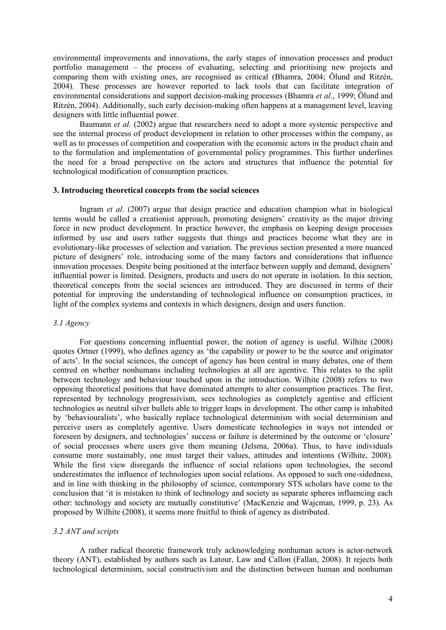environmental improvements and innovations, the early stages of innovation processes and product portfolio management – the process of evaluating, selecting and prioritising new projects and comparing them with existing ones, are recognised as critical (Bhamra, 2004; Ölund and Ritzén, 2004). These processes are however reported to lack tools that can facilitate integration of environmental considerations and support decision-making processes (Bhamra *et al*., 1999; Ölund and Ritzén, 2004). Additionally, such early decision-making often happens at a management level, leaving designers with little influential power.

Baumann *et al*. (2002) argue that researchers need to adopt a more systemic perspective and see the internal process of product development in relation to other processes within the company, as well as to processes of competition and cooperation with the economic actors in the product chain and to the formulation and implementation of governmental policy programmes. This further underlines the need for a broad perspective on the actors and structures that influence the potential for technological modification of consumption practices.

#### **3. Introducing theoretical concepts from the social sciences**

Ingram *et al*. (2007) argue that design practice and education champion what in biological terms would be called a creationist approach, promoting designers' creativity as the major driving force in new product development. In practice however, the emphasis on keeping design processes informed by use and users rather suggests that things and practices become what they are in evolutionary-like processes of selection and variation. The previous section presented a more nuanced picture of designers' role, introducing some of the many factors and considerations that influence innovation processes. Despite being positioned at the interface between supply and demand, designers' influential power is limited. Designers, products and users do not operate in isolation. In this section, theoretical concepts from the social sciences are introduced. They are discussed in terms of their potential for improving the understanding of technological influence on consumption practices, in light of the complex systems and contexts in which designers, design and users function.

# *3.1 Agency*

For questions concerning influential power, the notion of agency is useful. Wilhite (2008) quotes Ortner (1999), who defines agency as 'the capability or power to be the source and originator of acts'. In the social sciences, the concept of agency has been central in many debates, one of them centred on whether nonhumans including technologies at all are agentive. This relates to the split between technology and behaviour touched upon in the introduction. Wilhite (2008) refers to two opposing theoretical positions that have dominated attempts to alter consumption practices. The first, represented by technology progressivism, sees technologies as completely agentive and efficient technologies as neutral silver bullets able to trigger leaps in development. The other camp is inhabited by 'behaviouralists', who basically replace technological determinism with social determinism and perceive users as completely agentive. Users domesticate technologies in ways not intended or foreseen by designers, and technologies' success or failure is determined by the outcome or 'closure' of social processes where users give them meaning (Jelsma, 2006a). Thus, to have individuals consume more sustainably, one must target their values, attitudes and intentions (Wilhite, 2008). While the first view disregards the influence of social relations upon technologies, the second underestimates the influence of technologies upon social relations. As opposed to such one-sidedness, and in line with thinking in the philosophy of science, contemporary STS scholars have come to the conclusion that 'it is mistaken to think of technology and society as separate spheres influencing each other: technology and society are mutually constitutive' (MacKenzie and Wajcman, 1999, p. 23). As proposed by Wilhite (2008), it seems more fruitful to think of agency as distributed.

### *3.2 ANT and scripts*

A rather radical theoretic framework truly acknowledging nonhuman actors is actor-network theory (ANT), established by authors such as Latour, Law and Callon (Fallan, 2008). It rejects both technological determinism, social constructivism and the distinction between human and nonhuman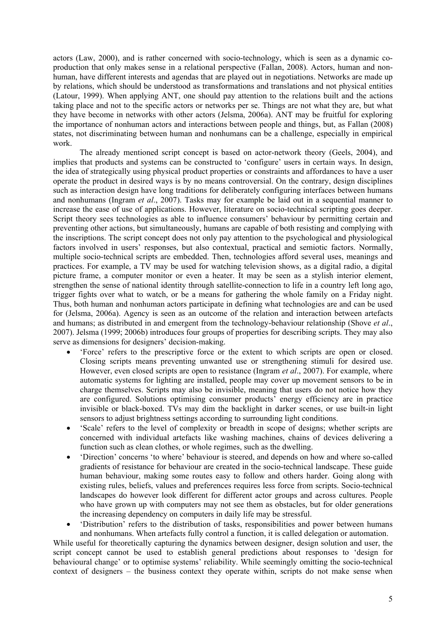actors (Law, 2000), and is rather concerned with socio-technology, which is seen as a dynamic coproduction that only makes sense in a relational perspective (Fallan, 2008). Actors, human and nonhuman, have different interests and agendas that are played out in negotiations. Networks are made up by relations, which should be understood as transformations and translations and not physical entities (Latour, 1999). When applying ANT, one should pay attention to the relations built and the actions taking place and not to the specific actors or networks per se. Things are not what they are, but what they have become in networks with other actors (Jelsma, 2006a). ANT may be fruitful for exploring the importance of nonhuman actors and interactions between people and things, but, as Fallan (2008) states, not discriminating between human and nonhumans can be a challenge, especially in empirical work.

The already mentioned script concept is based on actor-network theory (Geels, 2004), and implies that products and systems can be constructed to 'configure' users in certain ways. In design, the idea of strategically using physical product properties or constraints and affordances to have a user operate the product in desired ways is by no means controversial. On the contrary, design disciplines such as interaction design have long traditions for deliberately configuring interfaces between humans and nonhumans (Ingram *et al*., 2007). Tasks may for example be laid out in a sequential manner to increase the ease of use of applications. However, literature on socio-technical scripting goes deeper. Script theory sees technologies as able to influence consumers' behaviour by permitting certain and preventing other actions, but simultaneously, humans are capable of both resisting and complying with the inscriptions. The script concept does not only pay attention to the psychological and physiological factors involved in users' responses, but also contextual, practical and semiotic factors. Normally, multiple socio-technical scripts are embedded. Then, technologies afford several uses, meanings and practices. For example, a TV may be used for watching television shows, as a digital radio, a digital picture frame, a computer monitor or even a heater. It may be seen as a stylish interior element, strengthen the sense of national identity through satellite-connection to life in a country left long ago, trigger fights over what to watch, or be a means for gathering the whole family on a Friday night. Thus, both human and nonhuman actors participate in defining what technologies are and can be used for (Jelsma, 2006a). Agency is seen as an outcome of the relation and interaction between artefacts and humans; as distributed in and emergent from the technology-behaviour relationship (Shove *et al*., 2007). Jelsma (1999; 2006b) introduces four groups of properties for describing scripts. They may also serve as dimensions for designers' decision-making.

- 'Force' refers to the prescriptive force or the extent to which scripts are open or closed. Closing scripts means preventing unwanted use or strengthening stimuli for desired use. However, even closed scripts are open to resistance (Ingram *et al*., 2007). For example, where automatic systems for lighting are installed, people may cover up movement sensors to be in charge themselves. Scripts may also be invisible, meaning that users do not notice how they are configured. Solutions optimising consumer products' energy efficiency are in practice invisible or black-boxed. TVs may dim the backlight in darker scenes, or use built-in light sensors to adjust brightness settings according to surrounding light conditions.
- 'Scale' refers to the level of complexity or breadth in scope of designs; whether scripts are concerned with individual artefacts like washing machines, chains of devices delivering a function such as clean clothes, or whole regimes, such as the dwelling.
- 'Direction' concerns 'to where' behaviour is steered, and depends on how and where so-called gradients of resistance for behaviour are created in the socio-technical landscape. These guide human behaviour, making some routes easy to follow and others harder. Going along with existing rules, beliefs, values and preferences requires less force from scripts. Socio-technical landscapes do however look different for different actor groups and across cultures. People who have grown up with computers may not see them as obstacles, but for older generations the increasing dependency on computers in daily life may be stressful.
- 'Distribution' refers to the distribution of tasks, responsibilities and power between humans and nonhumans. When artefacts fully control a function, it is called delegation or automation.

While useful for theoretically capturing the dynamics between designer, design solution and user, the script concept cannot be used to establish general predictions about responses to 'design for behavioural change' or to optimise systems' reliability. While seemingly omitting the socio-technical context of designers – the business context they operate within, scripts do not make sense when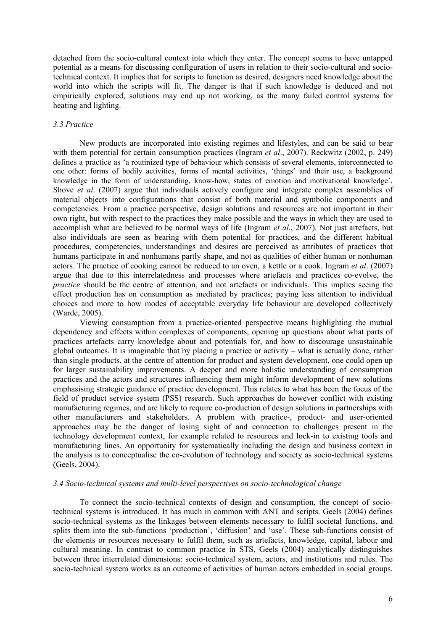detached from the socio-cultural context into which they enter. The concept seems to have untapped potential as a means for discussing configuration of users in relation to their socio-cultural and sociotechnical context. It implies that for scripts to function as desired, designers need knowledge about the world into which the scripts will fit. The danger is that if such knowledge is deduced and not empirically explored, solutions may end up not working, as the many failed control systems for heating and lighting.

## *3.3 Practice*

New products are incorporated into existing regimes and lifestyles, and can be said to bear with them potential for certain consumption practices (Ingram *et al*., 2007). Reckwitz (2002, p. 249) defines a practice as 'a routinized type of behaviour which consists of several elements, interconnected to one other: forms of bodily activities, forms of mental activities, 'things' and their use, a background knowledge in the form of understanding, know-how, states of emotion and motivational knowledge'. Shove *et al*. (2007) argue that individuals actively configure and integrate complex assemblies of material objects into configurations that consist of both material and symbolic components and competencies. From a practice perspective, design solutions and resources are not important in their own right, but with respect to the practices they make possible and the ways in which they are used to accomplish what are believed to be normal ways of life (Ingram *et al*., 2007). Not just artefacts, but also individuals are seen as bearing with them potential for practices, and the different habitual procedures, competencies, understandings and desires are perceived as attributes of practices that humans participate in and nonhumans partly shape, and not as qualities of either human or nonhuman actors. The practice of cooking cannot be reduced to an oven, a kettle or a cook. Ingram *et al*. (2007) argue that due to this interrelatedness and processes where artefacts and practices co-evolve, the *practice* should be the centre of attention, and not artefacts or individuals. This implies seeing the effect production has on consumption as mediated by practices; paying less attention to individual choices and more to how modes of acceptable everyday life behaviour are developed collectively (Warde, 2005).

Viewing consumption from a practice-oriented perspective means highlighting the mutual dependency and effects within complexes of components, opening up questions about what parts of practices artefacts carry knowledge about and potentials for, and how to discourage unsustainable global outcomes. It is imaginable that by placing a practice or activity – what is actually done, rather than single products, at the centre of attention for product and system development, one could open up for larger sustainability improvements. A deeper and more holistic understanding of consumption practices and the actors and structures influencing them might inform development of new solutions emphasising strategic guidance of practice development. This relates to what has been the focus of the field of product service system (PSS) research. Such approaches do however conflict with existing manufacturing regimes, and are likely to require co-production of design solutions in partnerships with other manufacturers and stakeholders. A problem with practice-, product- and user-oriented approaches may be the danger of losing sight of and connection to challenges present in the technology development context, for example related to resources and lock-in to existing tools and manufacturing lines. An opportunity for systematically including the design and business context in the analysis is to conceptualise the co-evolution of technology and society as socio-technical systems (Geels, 2004).

# *3.4 Socio-technical systems and multi-level perspectives on socio-technological change*

To connect the socio-technical contexts of design and consumption, the concept of sociotechnical systems is introduced. It has much in common with ANT and scripts. Geels (2004) defines socio-technical systems as the linkages between elements necessary to fulfil societal functions, and splits them into the sub-functions 'production', 'diffusion' and 'use'. These sub-functions consist of the elements or resources necessary to fulfil them, such as artefacts, knowledge, capital, labour and cultural meaning. In contrast to common practice in STS, Geels (2004) analytically distinguishes between three interrelated dimensions: socio-technical system, actors, and institutions and rules. The socio-technical system works as an outcome of activities of human actors embedded in social groups.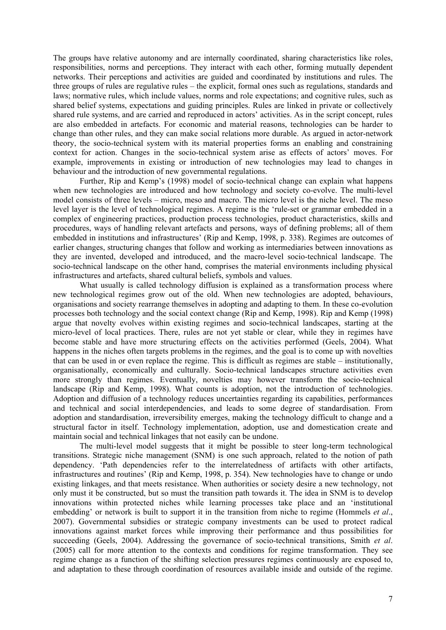The groups have relative autonomy and are internally coordinated, sharing characteristics like roles, responsibilities, norms and perceptions. They interact with each other, forming mutually dependent networks. Their perceptions and activities are guided and coordinated by institutions and rules. The three groups of rules are regulative rules – the explicit, formal ones such as regulations, standards and laws; normative rules, which include values, norms and role expectations; and cognitive rules, such as shared belief systems, expectations and guiding principles. Rules are linked in private or collectively shared rule systems, and are carried and reproduced in actors' activities. As in the script concept, rules are also embedded in artefacts. For economic and material reasons, technologies can be harder to change than other rules, and they can make social relations more durable. As argued in actor-network theory, the socio-technical system with its material properties forms an enabling and constraining context for action. Changes in the socio-technical system arise as effects of actors' moves. For example, improvements in existing or introduction of new technologies may lead to changes in behaviour and the introduction of new governmental regulations.

Further, Rip and Kemp's (1998) model of socio-technical change can explain what happens when new technologies are introduced and how technology and society co-evolve. The multi-level model consists of three levels – micro, meso and macro. The micro level is the niche level. The meso level layer is the level of technological regimes. A regime is the 'rule-set or grammar embedded in a complex of engineering practices, production process technologies, product characteristics, skills and procedures, ways of handling relevant artefacts and persons, ways of defining problems; all of them embedded in institutions and infrastructures' (Rip and Kemp, 1998, p. 338). Regimes are outcomes of earlier changes, structuring changes that follow and working as intermediaries between innovations as they are invented, developed and introduced, and the macro-level socio-technical landscape. The socio-technical landscape on the other hand, comprises the material environments including physical infrastructures and artefacts, shared cultural beliefs, symbols and values.

What usually is called technology diffusion is explained as a transformation process where new technological regimes grow out of the old. When new technologies are adopted, behaviours, organisations and society rearrange themselves in adopting and adapting to them. In these co-evolution processes both technology and the social context change (Rip and Kemp, 1998). Rip and Kemp (1998) argue that novelty evolves within existing regimes and socio-technical landscapes, starting at the micro-level of local practices. There, rules are not yet stable or clear, while they in regimes have become stable and have more structuring effects on the activities performed (Geels, 2004). What happens in the niches often targets problems in the regimes, and the goal is to come up with novelties that can be used in or even replace the regime. This is difficult as regimes are stable – institutionally, organisationally, economically and culturally. Socio-technical landscapes structure activities even more strongly than regimes. Eventually, novelties may however transform the socio-technical landscape (Rip and Kemp, 1998). What counts is adoption, not the introduction of technologies. Adoption and diffusion of a technology reduces uncertainties regarding its capabilities, performances and technical and social interdependencies, and leads to some degree of standardisation. From adoption and standardisation, irreversibility emerges, making the technology difficult to change and a structural factor in itself. Technology implementation, adoption, use and domestication create and maintain social and technical linkages that not easily can be undone.

The multi-level model suggests that it might be possible to steer long-term technological transitions. Strategic niche management (SNM) is one such approach, related to the notion of path dependency. 'Path dependencies refer to the interrelatedness of artifacts with other artifacts, infrastructures and routines' (Rip and Kemp, 1998, p. 354). New technologies have to change or undo existing linkages, and that meets resistance. When authorities or society desire a new technology, not only must it be constructed, but so must the transition path towards it. The idea in SNM is to develop innovations within protected niches while learning processes take place and an 'institutional embedding' or network is built to support it in the transition from niche to regime (Hommels *et al*., 2007). Governmental subsidies or strategic company investments can be used to protect radical innovations against market forces while improving their performance and thus possibilities for succeeding (Geels, 2004). Addressing the governance of socio-technical transitions, Smith *et al*. (2005) call for more attention to the contexts and conditions for regime transformation. They see regime change as a function of the shifting selection pressures regimes continuously are exposed to, and adaptation to these through coordination of resources available inside and outside of the regime.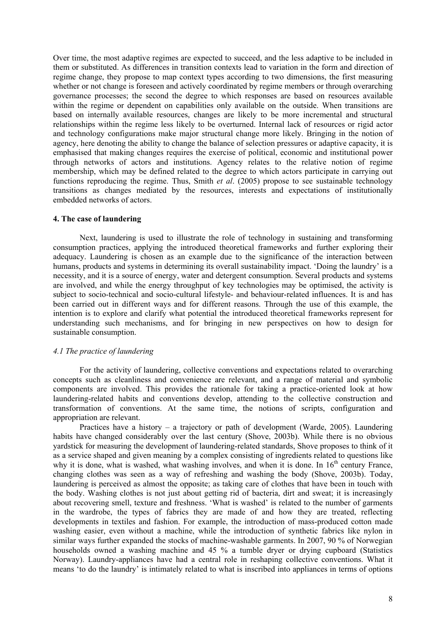Over time, the most adaptive regimes are expected to succeed, and the less adaptive to be included in them or substituted. As differences in transition contexts lead to variation in the form and direction of regime change, they propose to map context types according to two dimensions, the first measuring whether or not change is foreseen and actively coordinated by regime members or through overarching governance processes; the second the degree to which responses are based on resources available within the regime or dependent on capabilities only available on the outside. When transitions are based on internally available resources, changes are likely to be more incremental and structural relationships within the regime less likely to be overturned. Internal lack of resources or rigid actor and technology configurations make major structural change more likely. Bringing in the notion of agency, here denoting the ability to change the balance of selection pressures or adaptive capacity, it is emphasised that making changes requires the exercise of political, economic and institutional power through networks of actors and institutions. Agency relates to the relative notion of regime membership, which may be defined related to the degree to which actors participate in carrying out functions reproducing the regime. Thus, Smith *et al*. (2005) propose to see sustainable technology transitions as changes mediated by the resources, interests and expectations of institutionally embedded networks of actors.

## **4. The case of laundering**

Next, laundering is used to illustrate the role of technology in sustaining and transforming consumption practices, applying the introduced theoretical frameworks and further exploring their adequacy. Laundering is chosen as an example due to the significance of the interaction between humans, products and systems in determining its overall sustainability impact. 'Doing the laundry' is a necessity, and it is a source of energy, water and detergent consumption. Several products and systems are involved, and while the energy throughput of key technologies may be optimised, the activity is subject to socio-technical and socio-cultural lifestyle- and behaviour-related influences. It is and has been carried out in different ways and for different reasons. Through the use of this example, the intention is to explore and clarify what potential the introduced theoretical frameworks represent for understanding such mechanisms, and for bringing in new perspectives on how to design for sustainable consumption.

### *4.1 The practice of laundering*

For the activity of laundering, collective conventions and expectations related to overarching concepts such as cleanliness and convenience are relevant, and a range of material and symbolic components are involved. This provides the rationale for taking a practice-oriented look at how laundering-related habits and conventions develop, attending to the collective construction and transformation of conventions. At the same time, the notions of scripts, configuration and appropriation are relevant.

Practices have a history – a trajectory or path of development (Warde, 2005). Laundering habits have changed considerably over the last century (Shove, 2003b). While there is no obvious yardstick for measuring the development of laundering-related standards, Shove proposes to think of it as a service shaped and given meaning by a complex consisting of ingredients related to questions like why it is done, what is washed, what washing involves, and when it is done. In  $16<sup>th</sup>$  century France, changing clothes was seen as a way of refreshing and washing the body (Shove, 2003b). Today, laundering is perceived as almost the opposite; as taking care of clothes that have been in touch with the body. Washing clothes is not just about getting rid of bacteria, dirt and sweat; it is increasingly about recovering smell, texture and freshness. 'What is washed' is related to the number of garments in the wardrobe, the types of fabrics they are made of and how they are treated, reflecting developments in textiles and fashion. For example, the introduction of mass-produced cotton made washing easier, even without a machine, while the introduction of synthetic fabrics like nylon in similar ways further expanded the stocks of machine-washable garments. In 2007, 90 % of Norwegian households owned a washing machine and 45 % a tumble dryer or drying cupboard (Statistics Norway). Laundry-appliances have had a central role in reshaping collective conventions. What it means 'to do the laundry' is intimately related to what is inscribed into appliances in terms of options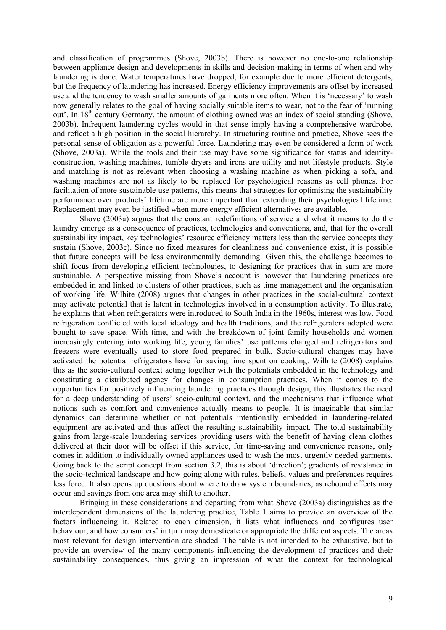and classification of programmes (Shove, 2003b). There is however no one-to-one relationship between appliance design and developments in skills and decision-making in terms of when and why laundering is done. Water temperatures have dropped, for example due to more efficient detergents, but the frequency of laundering has increased. Energy efficiency improvements are offset by increased use and the tendency to wash smaller amounts of garments more often. When it is 'necessary' to wash now generally relates to the goal of having socially suitable items to wear, not to the fear of 'running out'. In  $18<sup>th</sup>$  century Germany, the amount of clothing owned was an index of social standing (Shove, 2003b). Infrequent laundering cycles would in that sense imply having a comprehensive wardrobe, and reflect a high position in the social hierarchy. In structuring routine and practice, Shove sees the personal sense of obligation as a powerful force. Laundering may even be considered a form of work (Shove, 2003a). While the tools and their use may have some significance for status and identityconstruction, washing machines, tumble dryers and irons are utility and not lifestyle products. Style and matching is not as relevant when choosing a washing machine as when picking a sofa, and washing machines are not as likely to be replaced for psychological reasons as cell phones. For facilitation of more sustainable use patterns, this means that strategies for optimising the sustainability performance over products' lifetime are more important than extending their psychological lifetime. Replacement may even be justified when more energy efficient alternatives are available.

Shove (2003a) argues that the constant redefinitions of service and what it means to do the laundry emerge as a consequence of practices, technologies and conventions, and, that for the overall sustainability impact, key technologies' resource efficiency matters less than the service concepts they sustain (Shove, 2003c). Since no fixed measures for cleanliness and convenience exist, it is possible that future concepts will be less environmentally demanding. Given this, the challenge becomes to shift focus from developing efficient technologies, to designing for practices that in sum are more sustainable. A perspective missing from Shove's account is however that laundering practices are embedded in and linked to clusters of other practices, such as time management and the organisation of working life. Wilhite (2008) argues that changes in other practices in the social-cultural context may activate potential that is latent in technologies involved in a consumption activity. To illustrate, he explains that when refrigerators were introduced to South India in the 1960s, interest was low. Food refrigeration conflicted with local ideology and health traditions, and the refrigerators adopted were bought to save space. With time, and with the breakdown of joint family households and women increasingly entering into working life, young families' use patterns changed and refrigerators and freezers were eventually used to store food prepared in bulk. Socio-cultural changes may have activated the potential refrigerators have for saving time spent on cooking. Wilhite (2008) explains this as the socio-cultural context acting together with the potentials embedded in the technology and constituting a distributed agency for changes in consumption practices. When it comes to the opportunities for positively influencing laundering practices through design, this illustrates the need for a deep understanding of users' socio-cultural context, and the mechanisms that influence what notions such as comfort and convenience actually means to people. It is imaginable that similar dynamics can determine whether or not potentials intentionally embedded in laundering-related equipment are activated and thus affect the resulting sustainability impact. The total sustainability gains from large-scale laundering services providing users with the benefit of having clean clothes delivered at their door will be offset if this service, for time-saving and convenience reasons, only comes in addition to individually owned appliances used to wash the most urgently needed garments. Going back to the script concept from section 3.2, this is about 'direction'; gradients of resistance in the socio-technical landscape and how going along with rules, beliefs, values and preferences requires less force. It also opens up questions about where to draw system boundaries, as rebound effects may occur and savings from one area may shift to another.

Bringing in these considerations and departing from what Shove (2003a) distinguishes as the interdependent dimensions of the laundering practice, Table 1 aims to provide an overview of the factors influencing it. Related to each dimension, it lists what influences and configures user behaviour, and how consumers' in turn may domesticate or appropriate the different aspects. The areas most relevant for design intervention are shaded. The table is not intended to be exhaustive, but to provide an overview of the many components influencing the development of practices and their sustainability consequences, thus giving an impression of what the context for technological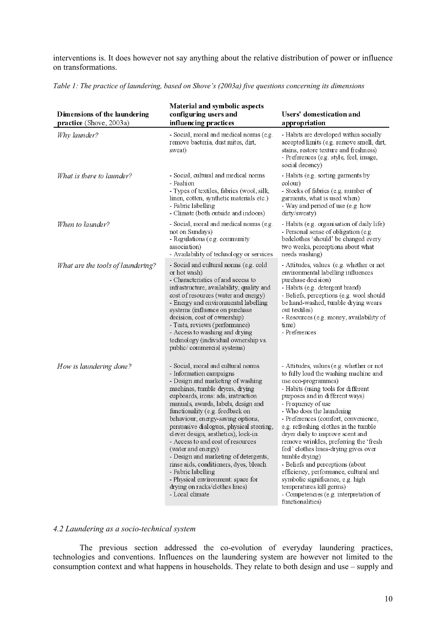interventions is. It does however not say anything about the relative distribution of power or influence on transformations.

| Dimensions of the laundering<br>practice (Shove, 2003a) | <b>Material and symbolic aspects</b><br>configuring users and<br>influencing practices                                                                                                                                                                                                                                                                                                                                                                                                                                                                                                                                                      | Users' domestication and<br>appropriation                                                                                                                                                                                                                                                                                                                                                                                                                                                                                                                                                                                                                                  |
|---------------------------------------------------------|---------------------------------------------------------------------------------------------------------------------------------------------------------------------------------------------------------------------------------------------------------------------------------------------------------------------------------------------------------------------------------------------------------------------------------------------------------------------------------------------------------------------------------------------------------------------------------------------------------------------------------------------|----------------------------------------------------------------------------------------------------------------------------------------------------------------------------------------------------------------------------------------------------------------------------------------------------------------------------------------------------------------------------------------------------------------------------------------------------------------------------------------------------------------------------------------------------------------------------------------------------------------------------------------------------------------------------|
| Why launder?                                            | - Social, moral and medical norms (e.g.<br>remove bacteria, dust mites, dirt,<br>sweat)                                                                                                                                                                                                                                                                                                                                                                                                                                                                                                                                                     | - Habits are developed within socially<br>accepted limits (e.g. remove smell, dirt,<br>stains, restore texture and freshness)<br>- Preferences (e.g. style, feel, image,<br>social decency)                                                                                                                                                                                                                                                                                                                                                                                                                                                                                |
| What is there to launder?                               | - Social, cultural and medical norms<br>- Fashion<br>- Types of textiles, fabrics (wool, silk,<br>linen, cotton, synthetic materials etc.)<br>- Fabric labelling<br>- Climate (both outside and indoors)                                                                                                                                                                                                                                                                                                                                                                                                                                    | - Habits (e.g. sorting garments by<br>colour)<br>- Stocks of fabrics (e.g. number of<br>garments, what is used when)<br>- Way and period of use (e.g. how<br>dirty/sweaty)                                                                                                                                                                                                                                                                                                                                                                                                                                                                                                 |
| When to launder?                                        | - Social, moral and medical norms (e.g.<br>not on Sundays)<br>- Regulations (e.g. community<br>association)<br>- Availability of technology or services                                                                                                                                                                                                                                                                                                                                                                                                                                                                                     | - Habits (e.g. organisation of daily life)<br>- Personal sense of obligation (e.g.<br>bedclothes 'should' be changed every<br>two weeks, perceptions about what<br>needs washing)                                                                                                                                                                                                                                                                                                                                                                                                                                                                                          |
| What are the tools of laundering?                       | - Social and cultural norms (e.g. cold<br>or hot wash)<br>- Characteristics of and access to<br>infrastructure, availability, quality and<br>cost of resources (water and energy)<br>- Energy and environmental labelling<br>systems (influence on purchase<br>decision, cost of ownership)<br>- Tests, reviews (performance)<br>- Access to washing and drying<br>technology (individual ownership vs.<br>public/commercial systems)                                                                                                                                                                                                       | - Attitudes, values (e.g. whether or not<br>environmental labelling influences<br>purchase decision)<br>- Habits (e.g. detergent brand)<br>- Beliefs, perceptions (e.g. wool should<br>be hand-washed, tumble drying wears<br>out textiles)<br>- Resources (e.g. money, availability of<br>time)<br>- Preferences                                                                                                                                                                                                                                                                                                                                                          |
| How is laundering done?                                 | - Social, moral and cultural norms<br>- Information campaigns<br>- Design and marketing of washing<br>machines, tumble dryers, drying<br>cupboards, irons: ads, instruction<br>manuals, awards, labels, design and<br>functionality (e.g. feedback on<br>behaviour, energy-saving options,<br>persuasive dialogues, physical steering,<br>clever design, aesthetics), lock-in<br>- Access to and cost of resources<br>(water and energy)<br>- Design and marketing of detergents,<br>rinse aids, conditioners, dyes, bleach<br>- Fabric labelling<br>- Physical environment: space for<br>drying on racks/clothes lines)<br>- Local climate | - Attitudes, values (e.g. whether or not<br>to fully load the washing machine and<br>use eco-programmes)<br>- Habits (using tools for different<br>purposes and in different ways)<br>- Frequency of use<br>- Who does the laundering<br>- Preferences (comfort, convenience,<br>e.g. refreshing clothes in the tumble<br>dryer daily to improve scent and<br>remove wrinkles, preferring the 'fresh<br>feel' clothes lines-drying gives over<br>tumble drying)<br>- Beliefs and perceptions (about<br>efficiency, performance, cultural and<br>symbolic significance, e.g. high<br>temperatures kill germs)<br>- Competencies (e.g. interpretation of<br>functionalities) |

*Table 1: The practice of laundering, based on Shove's (2003a) five questions concerning its dimensions* 

# *4.2 Laundering as a socio-technical system*

The previous section addressed the co-evolution of everyday laundering practices, technologies and conventions. Influences on the laundering system are however not limited to the consumption context and what happens in households. They relate to both design and use – supply and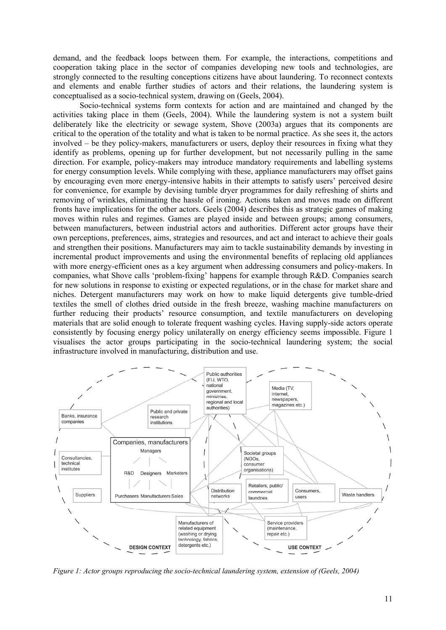demand, and the feedback loops between them. For example, the interactions, competitions and cooperation taking place in the sector of companies developing new tools and technologies, are strongly connected to the resulting conceptions citizens have about laundering. To reconnect contexts and elements and enable further studies of actors and their relations, the laundering system is conceptualised as a socio-technical system, drawing on (Geels, 2004).

Socio-technical systems form contexts for action and are maintained and changed by the activities taking place in them (Geels, 2004). While the laundering system is not a system built deliberately like the electricity or sewage system, Shove (2003a) argues that its components are critical to the operation of the totality and what is taken to be normal practice. As she sees it, the actors involved – be they policy-makers, manufacturers or users, deploy their resources in fixing what they identify as problems, opening up for further development, but not necessarily pulling in the same direction. For example, policy-makers may introduce mandatory requirements and labelling systems for energy consumption levels. While complying with these, appliance manufacturers may offset gains by encouraging even more energy-intensive habits in their attempts to satisfy users' perceived desire for convenience, for example by devising tumble dryer programmes for daily refreshing of shirts and removing of wrinkles, eliminating the hassle of ironing. Actions taken and moves made on different fronts have implications for the other actors. Geels (2004) describes this as strategic games of making moves within rules and regimes. Games are played inside and between groups; among consumers, between manufacturers, between industrial actors and authorities. Different actor groups have their own perceptions, preferences, aims, strategies and resources, and act and interact to achieve their goals and strengthen their positions. Manufacturers may aim to tackle sustainability demands by investing in incremental product improvements and using the environmental benefits of replacing old appliances with more energy-efficient ones as a key argument when addressing consumers and policy-makers. In companies, what Shove calls 'problem-fixing' happens for example through R&D. Companies search for new solutions in response to existing or expected regulations, or in the chase for market share and niches. Detergent manufacturers may work on how to make liquid detergents give tumble-dried textiles the smell of clothes dried outside in the fresh breeze, washing machine manufacturers on further reducing their products' resource consumption, and textile manufacturers on developing materials that are solid enough to tolerate frequent washing cycles. Having supply-side actors operate consistently by focusing energy policy unilaterally on energy efficiency seems impossible. Figure 1 visualises the actor groups participating in the socio-technical laundering system; the social infrastructure involved in manufacturing, distribution and use.



*Figure 1: Actor groups reproducing the socio-technical laundering system, extension of (Geels, 2004)*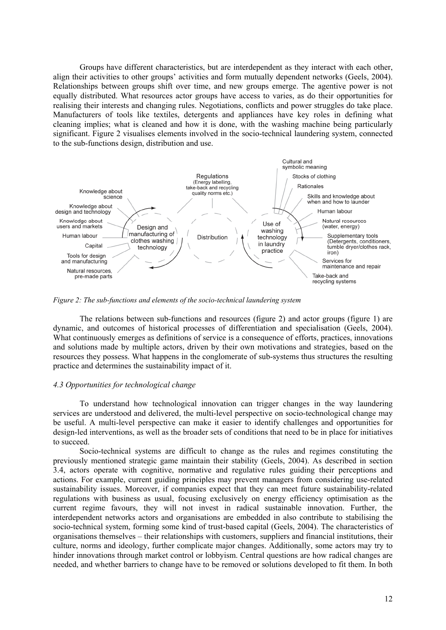Groups have different characteristics, but are interdependent as they interact with each other, align their activities to other groups' activities and form mutually dependent networks (Geels, 2004). Relationships between groups shift over time, and new groups emerge. The agentive power is not equally distributed. What resources actor groups have access to varies, as do their opportunities for realising their interests and changing rules. Negotiations, conflicts and power struggles do take place. Manufacturers of tools like textiles, detergents and appliances have key roles in defining what cleaning implies; what is cleaned and how it is done, with the washing machine being particularly significant. Figure 2 visualises elements involved in the socio-technical laundering system, connected to the sub-functions design, distribution and use.



*Figure 2: The sub-functions and elements of the socio-technical laundering system* 

The relations between sub-functions and resources (figure 2) and actor groups (figure 1) are dynamic, and outcomes of historical processes of differentiation and specialisation (Geels, 2004). What continuously emerges as definitions of service is a consequence of efforts, practices, innovations and solutions made by multiple actors, driven by their own motivations and strategies, based on the resources they possess. What happens in the conglomerate of sub-systems thus structures the resulting practice and determines the sustainability impact of it.

## *4.3 Opportunities for technological change*

To understand how technological innovation can trigger changes in the way laundering services are understood and delivered, the multi-level perspective on socio-technological change may be useful. A multi-level perspective can make it easier to identify challenges and opportunities for design-led interventions, as well as the broader sets of conditions that need to be in place for initiatives to succeed.

Socio-technical systems are difficult to change as the rules and regimes constituting the previously mentioned strategic game maintain their stability (Geels, 2004). As described in section 3.4, actors operate with cognitive, normative and regulative rules guiding their perceptions and actions. For example, current guiding principles may prevent managers from considering use-related sustainability issues. Moreover, if companies expect that they can meet future sustainability-related regulations with business as usual, focusing exclusively on energy efficiency optimisation as the current regime favours, they will not invest in radical sustainable innovation. Further, the interdependent networks actors and organisations are embedded in also contribute to stabilising the socio-technical system, forming some kind of trust-based capital (Geels, 2004). The characteristics of organisations themselves – their relationships with customers, suppliers and financial institutions, their culture, norms and ideology, further complicate major changes. Additionally, some actors may try to hinder innovations through market control or lobbyism. Central questions are how radical changes are needed, and whether barriers to change have to be removed or solutions developed to fit them. In both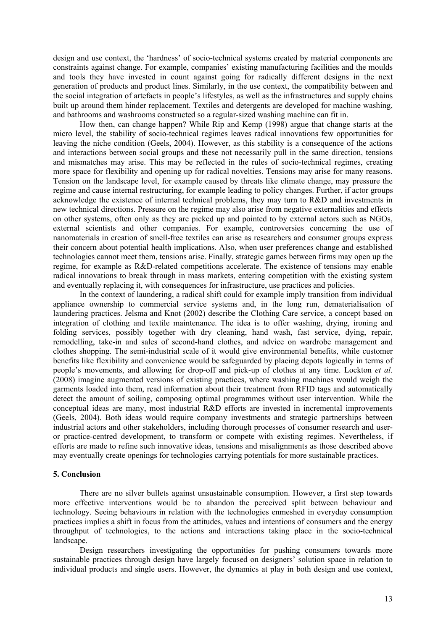design and use context, the 'hardness' of socio-technical systems created by material components are constraints against change. For example, companies' existing manufacturing facilities and the moulds and tools they have invested in count against going for radically different designs in the next generation of products and product lines. Similarly, in the use context, the compatibility between and the social integration of artefacts in people's lifestyles, as well as the infrastructures and supply chains built up around them hinder replacement. Textiles and detergents are developed for machine washing, and bathrooms and washrooms constructed so a regular-sized washing machine can fit in.

How then, can change happen? While Rip and Kemp (1998) argue that change starts at the micro level, the stability of socio-technical regimes leaves radical innovations few opportunities for leaving the niche condition (Geels, 2004). However, as this stability is a consequence of the actions and interactions between social groups and these not necessarily pull in the same direction, tensions and mismatches may arise. This may be reflected in the rules of socio-technical regimes, creating more space for flexibility and opening up for radical novelties. Tensions may arise for many reasons. Tension on the landscape level, for example caused by threats like climate change, may pressure the regime and cause internal restructuring, for example leading to policy changes. Further, if actor groups acknowledge the existence of internal technical problems, they may turn to R&D and investments in new technical directions. Pressure on the regime may also arise from negative externalities and effects on other systems, often only as they are picked up and pointed to by external actors such as NGOs, external scientists and other companies. For example, controversies concerning the use of nanomaterials in creation of smell-free textiles can arise as researchers and consumer groups express their concern about potential health implications. Also, when user preferences change and established technologies cannot meet them, tensions arise. Finally, strategic games between firms may open up the regime, for example as R&D-related competitions accelerate. The existence of tensions may enable radical innovations to break through in mass markets, entering competition with the existing system and eventually replacing it, with consequences for infrastructure, use practices and policies.

In the context of laundering, a radical shift could for example imply transition from individual appliance ownership to commercial service systems and, in the long run, dematerialisation of laundering practices. Jelsma and Knot (2002) describe the Clothing Care service, a concept based on integration of clothing and textile maintenance. The idea is to offer washing, drying, ironing and folding services, possibly together with dry cleaning, hand wash, fast service, dying, repair, remodelling, take-in and sales of second-hand clothes, and advice on wardrobe management and clothes shopping. The semi-industrial scale of it would give environmental benefits, while customer benefits like flexibility and convenience would be safeguarded by placing depots logically in terms of people's movements, and allowing for drop-off and pick-up of clothes at any time. Lockton *et al*. (2008) imagine augmented versions of existing practices, where washing machines would weigh the garments loaded into them, read information about their treatment from RFID tags and automatically detect the amount of soiling, composing optimal programmes without user intervention. While the conceptual ideas are many, most industrial R&D efforts are invested in incremental improvements (Geels, 2004). Both ideas would require company investments and strategic partnerships between industrial actors and other stakeholders, including thorough processes of consumer research and useror practice-centred development, to transform or compete with existing regimes. Nevertheless, if efforts are made to refine such innovative ideas, tensions and misalignments as those described above may eventually create openings for technologies carrying potentials for more sustainable practices.

### **5. Conclusion**

There are no silver bullets against unsustainable consumption. However, a first step towards more effective interventions would be to abandon the perceived split between behaviour and technology. Seeing behaviours in relation with the technologies enmeshed in everyday consumption practices implies a shift in focus from the attitudes, values and intentions of consumers and the energy throughput of technologies, to the actions and interactions taking place in the socio-technical landscape.

Design researchers investigating the opportunities for pushing consumers towards more sustainable practices through design have largely focused on designers' solution space in relation to individual products and single users. However, the dynamics at play in both design and use context,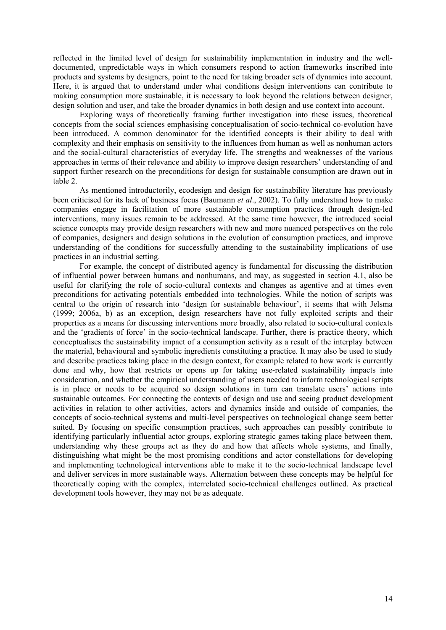reflected in the limited level of design for sustainability implementation in industry and the welldocumented, unpredictable ways in which consumers respond to action frameworks inscribed into products and systems by designers, point to the need for taking broader sets of dynamics into account. Here, it is argued that to understand under what conditions design interventions can contribute to making consumption more sustainable, it is necessary to look beyond the relations between designer, design solution and user, and take the broader dynamics in both design and use context into account.

Exploring ways of theoretically framing further investigation into these issues, theoretical concepts from the social sciences emphasising conceptualisation of socio-technical co-evolution have been introduced. A common denominator for the identified concepts is their ability to deal with complexity and their emphasis on sensitivity to the influences from human as well as nonhuman actors and the social-cultural characteristics of everyday life. The strengths and weaknesses of the various approaches in terms of their relevance and ability to improve design researchers' understanding of and support further research on the preconditions for design for sustainable consumption are drawn out in table 2.

As mentioned introductorily, ecodesign and design for sustainability literature has previously been criticised for its lack of business focus (Baumann *et al*., 2002). To fully understand how to make companies engage in facilitation of more sustainable consumption practices through design-led interventions, many issues remain to be addressed. At the same time however, the introduced social science concepts may provide design researchers with new and more nuanced perspectives on the role of companies, designers and design solutions in the evolution of consumption practices, and improve understanding of the conditions for successfully attending to the sustainability implications of use practices in an industrial setting.

For example, the concept of distributed agency is fundamental for discussing the distribution of influential power between humans and nonhumans, and may, as suggested in section 4.1, also be useful for clarifying the role of socio-cultural contexts and changes as agentive and at times even preconditions for activating potentials embedded into technologies. While the notion of scripts was central to the origin of research into 'design for sustainable behaviour', it seems that with Jelsma (1999; 2006a, b) as an exception, design researchers have not fully exploited scripts and their properties as a means for discussing interventions more broadly, also related to socio-cultural contexts and the 'gradients of force' in the socio-technical landscape. Further, there is practice theory, which conceptualises the sustainability impact of a consumption activity as a result of the interplay between the material, behavioural and symbolic ingredients constituting a practice. It may also be used to study and describe practices taking place in the design context, for example related to how work is currently done and why, how that restricts or opens up for taking use-related sustainability impacts into consideration, and whether the empirical understanding of users needed to inform technological scripts is in place or needs to be acquired so design solutions in turn can translate users' actions into sustainable outcomes. For connecting the contexts of design and use and seeing product development activities in relation to other activities, actors and dynamics inside and outside of companies, the concepts of socio-technical systems and multi-level perspectives on technological change seem better suited. By focusing on specific consumption practices, such approaches can possibly contribute to identifying particularly influential actor groups, exploring strategic games taking place between them, understanding why these groups act as they do and how that affects whole systems, and finally, distinguishing what might be the most promising conditions and actor constellations for developing and implementing technological interventions able to make it to the socio-technical landscape level and deliver services in more sustainable ways. Alternation between these concepts may be helpful for theoretically coping with the complex, interrelated socio-technical challenges outlined. As practical development tools however, they may not be as adequate.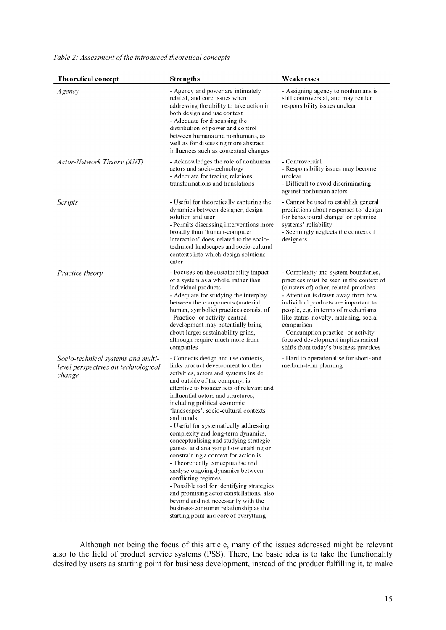# *Table 2: Assessment of the introduced theoretical concepts*

| <b>Theoretical concept</b>                                                          | <b>Strengths</b>                                                                                                                                                                                                                                                                                                                                                                                                                                                                                                                                                                                                                                                                                                                                                                                                                                            | Weaknesses                                                                                                                                                                                                                                                                                                                                                                                                                      |
|-------------------------------------------------------------------------------------|-------------------------------------------------------------------------------------------------------------------------------------------------------------------------------------------------------------------------------------------------------------------------------------------------------------------------------------------------------------------------------------------------------------------------------------------------------------------------------------------------------------------------------------------------------------------------------------------------------------------------------------------------------------------------------------------------------------------------------------------------------------------------------------------------------------------------------------------------------------|---------------------------------------------------------------------------------------------------------------------------------------------------------------------------------------------------------------------------------------------------------------------------------------------------------------------------------------------------------------------------------------------------------------------------------|
| Agency                                                                              | - Agency and power are intimately<br>related, and core issues when<br>addressing the ability to take action in<br>both design and use context<br>- Adequate for discussing the<br>distribution of power and control<br>between humans and nonhumans, as<br>well as for discussing more abstract<br>influences such as contextual changes                                                                                                                                                                                                                                                                                                                                                                                                                                                                                                                    | - Assigning agency to nonhumans is<br>still controversial, and may render<br>responsibility issues unclear                                                                                                                                                                                                                                                                                                                      |
| Actor-Network Theory (ANT)                                                          | - Acknowledges the role of nonhuman<br>actors and socio-technology<br>- Adequate for tracing relations,<br>transformations and translations                                                                                                                                                                                                                                                                                                                                                                                                                                                                                                                                                                                                                                                                                                                 | - Controversial<br>- Responsibility issues may become<br>unclear<br>- Difficult to avoid discriminating<br>against nonhuman actors                                                                                                                                                                                                                                                                                              |
| Scripts                                                                             | - Useful for theoretically capturing the<br>dynamics between designer, design<br>solution and user<br>- Permits discussing interventions more<br>broadly than 'human-computer<br>interaction' does, related to the socio-<br>technical landscapes and socio-cultural<br>contexts into which design solutions<br>enter                                                                                                                                                                                                                                                                                                                                                                                                                                                                                                                                       | - Cannot be used to establish general<br>predictions about responses to 'design<br>for behavioural change' or optimise<br>systems' reliability<br>- Seemingly neglects the context of<br>designers                                                                                                                                                                                                                              |
| Practice theory                                                                     | - Focuses on the sustainability impact<br>of a system as a whole, rather than<br>individual products<br>- Adequate for studying the interplay<br>between the components (material,<br>human, symbolic) practices consist of<br>- Practice- or activity-centred<br>development may potentially bring<br>about larger sustainability gains,<br>although require much more from<br>companies                                                                                                                                                                                                                                                                                                                                                                                                                                                                   | - Complexity and system boundaries,<br>practices must be seen in the context of<br>(clusters of) other, related practices<br>- Attention is drawn away from how<br>individual products are important to<br>people, e.g. in terms of mechanisms<br>like status, novelty, matching, social<br>comparison<br>- Consumption practice- or activity-<br>focused development implies radical<br>shifts from today's business practices |
| Socio-technical systems and multi-<br>level perspectives on technological<br>change | - Connects design and use contexts,<br>links product development to other<br>activities, actors and systems inside<br>and outside of the company, is<br>attentive to broader sets of relevant and<br>influential actors and structures,<br>including political economic<br>'landscapes', socio-cultural contexts<br>and trends<br>- Useful for systematically addressing<br>complexity and long-term dynamics,<br>conceptualising and studying strategic<br>games, and analysing how enabling or<br>constraining a context for action is<br>- Theoretically conceptualise and<br>analyse ongoing dynamics between<br>conflicting regimes<br>- Possible tool for identifying strategies<br>and promising actor constellations, also<br>beyond and not necessarily with the<br>business-consumer relationship as the<br>starting point and core of everything | - Hard to operationalise for short- and<br>medium-term planning                                                                                                                                                                                                                                                                                                                                                                 |

Although not being the focus of this article, many of the issues addressed might be relevant also to the field of product service systems (PSS). There, the basic idea is to take the functionality desired by users as starting point for business development, instead of the product fulfilling it, to make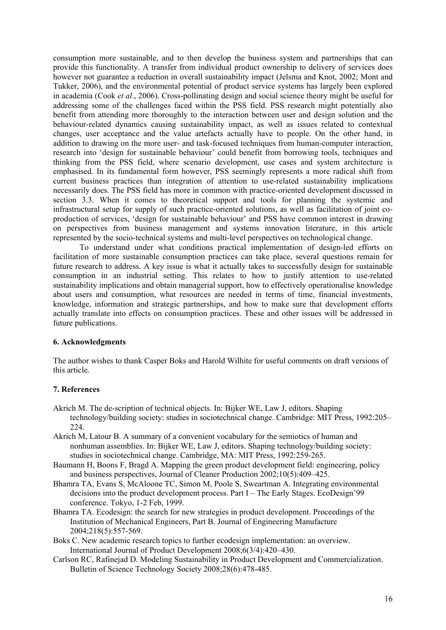consumption more sustainable, and to then develop the business system and partnerships that can provide this functionality. A transfer from individual product ownership to delivery of services does however not guarantee a reduction in overall sustainability impact (Jelsma and Knot, 2002; Mont and Tukker, 2006), and the environmental potential of product service systems has largely been explored in academia (Cook *et al*., 2006). Cross-pollinating design and social science theory might be useful for addressing some of the challenges faced within the PSS field. PSS research might potentially also benefit from attending more thoroughly to the interaction between user and design solution and the behaviour-related dynamics causing sustainability impact, as well as issues related to contextual changes, user acceptance and the value artefacts actually have to people. On the other hand, in addition to drawing on the more user- and task-focused techniques from human-computer interaction, research into 'design for sustainable behaviour' could benefit from borrowing tools, techniques and thinking from the PSS field, where scenario development, use cases and system architecture is emphasised. In its fundamental form however, PSS seemingly represents a more radical shift from current business practices than integration of attention to use-related sustainability implications necessarily does. The PSS field has more in common with practice-oriented development discussed in section 3.3. When it comes to theoretical support and tools for planning the systemic and infrastructural setup for supply of such practice-oriented solutions, as well as facilitation of joint coproduction of services, 'design for sustainable behaviour' and PSS have common interest in drawing on perspectives from business management and systems innovation literature, in this article represented by the socio-technical systems and multi-level perspectives on technological change.

To understand under what conditions practical implementation of design-led efforts on facilitation of more sustainable consumption practices can take place, several questions remain for future research to address. A key issue is what it actually takes to successfully design for sustainable consumption in an industrial setting. This relates to how to justify attention to use-related sustainability implications and obtain managerial support, how to effectively operationalise knowledge about users and consumption, what resources are needed in terms of time, financial investments, knowledge, information and strategic partnerships, and how to make sure that development efforts actually translate into effects on consumption practices. These and other issues will be addressed in future publications.

# **6. Acknowledgments**

The author wishes to thank Casper Boks and Harold Wilhite for useful comments on draft versions of this article.

# **7. References**

- Akrich M. The de-scription of technical objects. In: Bijker WE, Law J, editors. Shaping technology/building society: studies in sociotechnical change. Cambridge: MIT Press, 1992:205– 224.
- Akrich M, Latour B. A summary of a convenient vocabulary for the semiotics of human and nonhuman assemblies. In: Bijker WE, Law J, editors. Shaping technology/building society: studies in sociotechnical change. Cambridge, MA: MIT Press, 1992:259-265.
- Baumann H, Boons F, Bragd A. Mapping the green product development field: engineering, policy and business perspectives, Journal of Cleaner Production 2002;10(5):409–425.
- Bhamra TA, Evans S, McAloone TC, Simon M, Poole S, Sweartman A. Integrating environmental decisions into the product development process. Part I – The Early Stages. EcoDesign'99 conference. Tokyo, 1-2 Feb, 1999.
- Bhamra TA. Ecodesign: the search for new strategies in product development. Proceedings of the Institution of Mechanical Engineers, Part B. Journal of Engineering Manufacture 2004;218(5):557-569.
- Boks C. New academic research topics to further ecodesign implementation: an overview. International Journal of Product Development 2008;6(3/4):420–430.
- Carlson RC, Rafinejad D. Modeling Sustainability in Product Development and Commercialization. Bulletin of Science Technology Society 2008;28(6):478-485.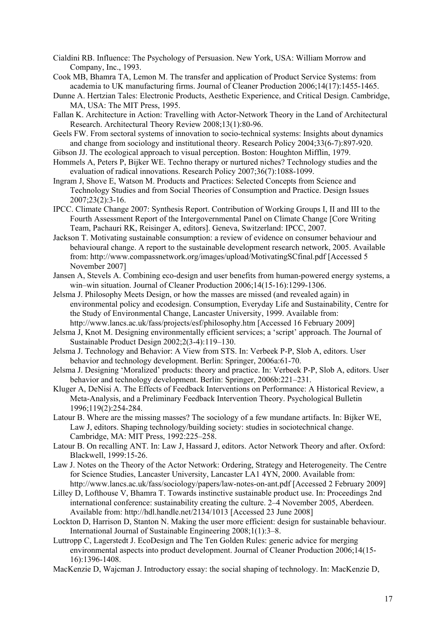- Cialdini RB. Influence: The Psychology of Persuasion. New York, USA: William Morrow and Company, Inc., 1993.
- Cook MB, Bhamra TA, Lemon M. The transfer and application of Product Service Systems: from academia to UK manufacturing firms. Journal of Cleaner Production 2006;14(17):1455-1465.
- Dunne A. Hertzian Tales: Electronic Products, Aesthetic Experience, and Critical Design. Cambridge, MA, USA: The MIT Press, 1995.
- Fallan K. Architecture in Action: Travelling with Actor-Network Theory in the Land of Architectural Research. Architectural Theory Review 2008;13(1):80-96.
- Geels FW. From sectoral systems of innovation to socio-technical systems: Insights about dynamics and change from sociology and institutional theory. Research Policy 2004;33(6-7):897-920.
- Gibson JJ. The ecological approach to visual perception. Boston: Houghton Mifflin, 1979.
- Hommels A, Peters P, Bijker WE. Techno therapy or nurtured niches? Technology studies and the evaluation of radical innovations. Research Policy 2007;36(7):1088-1099.
- Ingram J, Shove E, Watson M. Products and Practices: Selected Concepts from Science and Technology Studies and from Social Theories of Consumption and Practice. Design Issues 2007;23(2):3-16.
- IPCC. Climate Change 2007: Synthesis Report. Contribution of Working Groups I, II and III to the Fourth Assessment Report of the Intergovernmental Panel on Climate Change [Core Writing Team, Pachauri RK, Reisinger A, editors]. Geneva, Switzerland: IPCC, 2007.
- Jackson T. Motivating sustainable consumption: a review of evidence on consumer behaviour and behavioural change. A report to the sustainable development research network, 2005. Available from: http://www.compassnetwork.org/images/upload/MotivatingSCfinal.pdf [Accessed 5 November 2007]
- Jansen A, Stevels A. Combining eco-design and user benefits from human-powered energy systems, a win–win situation. Journal of Cleaner Production 2006;14(15-16):1299-1306.
- Jelsma J. Philosophy Meets Design, or how the masses are missed (and revealed again) in environmental policy and ecodesign. Consumption, Everyday Life and Sustainability, Centre for the Study of Environmental Change, Lancaster University, 1999. Available from: http://www.lancs.ac.uk/fass/projects/esf/philosophy.htm [Accessed 16 February 2009]
- Jelsma J, Knot M. Designing environmentally efficient services; a 'script' approach. The Journal of Sustainable Product Design 2002;2(3-4):119–130.
- Jelsma J. Technology and Behavior: A View from STS. In: Verbeek P-P, Slob A, editors. User behavior and technology development. Berlin: Springer, 2006a:61-70.
- Jelsma J. Designing 'Moralized' products: theory and practice. In: Verbeek P-P, Slob A, editors. User behavior and technology development. Berlin: Springer, 2006b:221–231.
- Kluger A, DeNisi A. The Effects of Feedback Interventions on Performance: A Historical Review, a Meta-Analysis, and a Preliminary Feedback Intervention Theory. Psychological Bulletin 1996;119(2):254-284.
- Latour B. Where are the missing masses? The sociology of a few mundane artifacts. In: Bijker WE, Law J, editors. Shaping technology/building society: studies in sociotechnical change. Cambridge, MA: MIT Press, 1992:225–258.
- Latour B. On recalling ANT. In: Law J, Hassard J, editors. Actor Network Theory and after. Oxford: Blackwell, 1999:15-26.
- Law J. Notes on the Theory of the Actor Network: Ordering, Strategy and Heterogeneity. The Centre for Science Studies, Lancaster University, Lancaster LA1 4YN, 2000. Available from: http://www.lancs.ac.uk/fass/sociology/papers/law-notes-on-ant.pdf [Accessed 2 February 2009]
- Lilley D, Lofthouse V, Bhamra T. Towards instinctive sustainable product use. In: Proceedings 2nd international conference: sustainability creating the culture. 2–4 November 2005, Aberdeen. Available from: http://hdl.handle.net/2134/1013 [Accessed 23 June 2008]
- Lockton D, Harrison D, Stanton N. Making the user more efficient: design for sustainable behaviour. International Journal of Sustainable Engineering 2008;1(1):3–8.
- Luttropp C, Lagerstedt J. EcoDesign and The Ten Golden Rules: generic advice for merging environmental aspects into product development. Journal of Cleaner Production 2006;14(15- 16):1396-1408.
- MacKenzie D, Wajcman J. Introductory essay: the social shaping of technology. In: MacKenzie D,